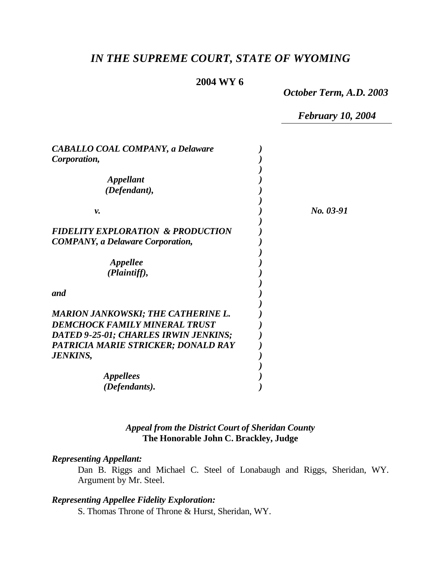# *IN THE SUPREME COURT, STATE OF WYOMING*

### **2004 WY 6**

*October Term, A.D. 2003*

*February 10, 2004*

| <b>CABALLO COAL COMPANY, a Delaware</b><br>Corporation,                                         |           |
|-------------------------------------------------------------------------------------------------|-----------|
| <i><b>Appellant</b></i>                                                                         |           |
| (Defendant),                                                                                    |           |
| ν.                                                                                              | No. 03-91 |
| <b>FIDELITY EXPLORATION &amp; PRODUCTION</b><br><b>COMPANY</b> , a Delaware Corporation,        |           |
| Appellee<br>(Plaintiff),                                                                        |           |
| and                                                                                             |           |
| <b>MARION JANKOWSKI; THE CATHERINE L.</b><br><b>DEMCHOCK FAMILY MINERAL TRUST</b>               |           |
| DATED 9-25-01; CHARLES IRWIN JENKINS;<br>PATRICIA MARIE STRICKER; DONALD RAY<br><b>JENKINS,</b> |           |
| <i>Appellees</i><br>(Defendants).                                                               |           |

### *Appeal from the District Court of Sheridan County* **The Honorable John C. Brackley, Judge**

### *Representing Appellant:*

Dan B. Riggs and Michael C. Steel of Lonabaugh and Riggs, Sheridan, WY. Argument by Mr. Steel.

### *Representing Appellee Fidelity Exploration:*

S. Thomas Throne of Throne & Hurst, Sheridan, WY.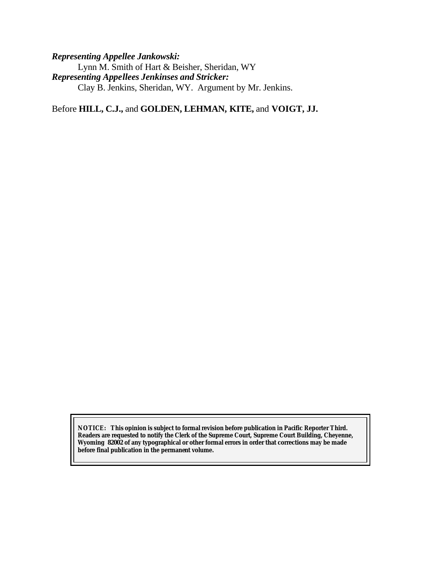### *Representing Appellee Jankowski:*

Lynn M. Smith of Hart & Beisher, Sheridan, WY *Representing Appellees Jenkinses and Stricker:* Clay B. Jenkins, Sheridan, WY. Argument by Mr. Jenkins.

Before **HILL, C.J.,** and **GOLDEN, LEHMAN, KITE,** and **VOIGT, JJ.**

**NOTICE:** *This opinion is subject to formal revision before publication in Pacific Reporter Third. Readers are requested to notify the Clerk of the Supreme Court, Supreme Court Building, Cheyenne, Wyoming 82002 of any typographical or other formal errors in order that corrections may be made before final publication in the permanent volume.*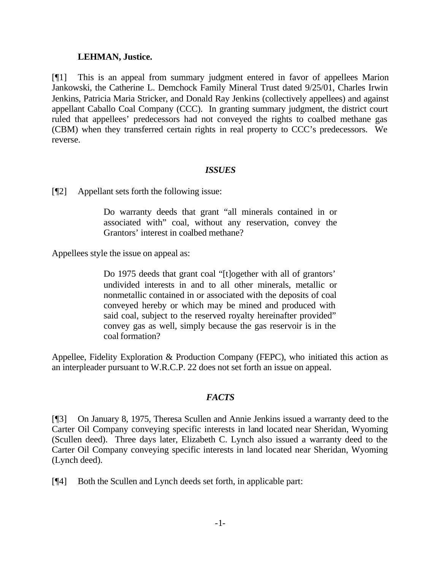#### **LEHMAN, Justice.**

[¶1] This is an appeal from summary judgment entered in favor of appellees Marion Jankowski, the Catherine L. Demchock Family Mineral Trust dated 9/25/01, Charles Irwin Jenkins, Patricia Maria Stricker, and Donald Ray Jenkins (collectively appellees) and against appellant Caballo Coal Company (CCC). In granting summary judgment, the district court ruled that appellees' predecessors had not conveyed the rights to coalbed methane gas (CBM) when they transferred certain rights in real property to CCC's predecessors. We reverse.

#### *ISSUES*

[¶2] Appellant sets forth the following issue:

Do warranty deeds that grant "all minerals contained in or associated with" coal, without any reservation, convey the Grantors' interest in coalbed methane?

Appellees style the issue on appeal as:

Do 1975 deeds that grant coal "[t]ogether with all of grantors' undivided interests in and to all other minerals, metallic or nonmetallic contained in or associated with the deposits of coal conveyed hereby or which may be mined and produced with said coal, subject to the reserved royalty hereinafter provided" convey gas as well, simply because the gas reservoir is in the coal formation?

Appellee, Fidelity Exploration & Production Company (FEPC), who initiated this action as an interpleader pursuant to W.R.C.P. 22 does not set forth an issue on appeal.

### *FACTS*

[¶3] On January 8, 1975, Theresa Scullen and Annie Jenkins issued a warranty deed to the Carter Oil Company conveying specific interests in land located near Sheridan, Wyoming (Scullen deed). Three days later, Elizabeth C. Lynch also issued a warranty deed to the Carter Oil Company conveying specific interests in land located near Sheridan, Wyoming (Lynch deed).

[¶4] Both the Scullen and Lynch deeds set forth, in applicable part: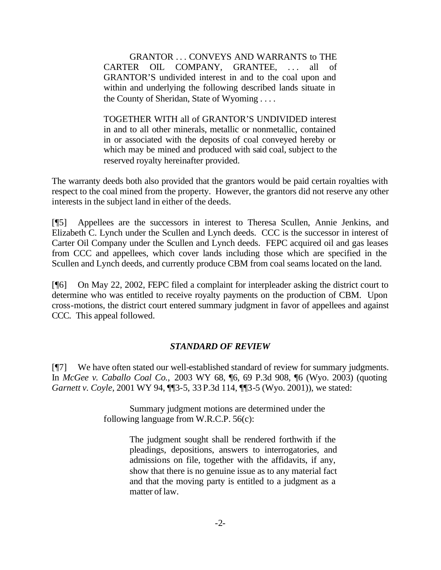GRANTOR . . . CONVEYS AND WARRANTS to THE CARTER OIL COMPANY, GRANTEE, ... all of GRANTOR'S undivided interest in and to the coal upon and within and underlying the following described lands situate in the County of Sheridan, State of Wyoming . . . .

TOGETHER WITH all of GRANTOR'S UNDIVIDED interest in and to all other minerals, metallic or nonmetallic, contained in or associated with the deposits of coal conveyed hereby or which may be mined and produced with said coal, subject to the reserved royalty hereinafter provided.

The warranty deeds both also provided that the grantors would be paid certain royalties with respect to the coal mined from the property. However, the grantors did not reserve any other interests in the subject land in either of the deeds.

[¶5] Appellees are the successors in interest to Theresa Scullen, Annie Jenkins, and Elizabeth C. Lynch under the Scullen and Lynch deeds. CCC is the successor in interest of Carter Oil Company under the Scullen and Lynch deeds. FEPC acquired oil and gas leases from CCC and appellees, which cover lands including those which are specified in the Scullen and Lynch deeds, and currently produce CBM from coal seams located on the land.

[¶6] On May 22, 2002, FEPC filed a complaint for interpleader asking the district court to determine who was entitled to receive royalty payments on the production of CBM. Upon cross-motions, the district court entered summary judgment in favor of appellees and against CCC. This appeal followed.

### *STANDARD OF REVIEW*

[¶7] We have often stated our well-established standard of review for summary judgments. In *McGee v. Caballo Coal Co.,* 2003 WY 68, ¶6, 69 P.3d 908, ¶6 (Wyo. 2003) (quoting *Garnett v. Coyle*, 2001 WY 94, ¶¶3-5, 33 P.3d 114, ¶¶3-5 (Wyo. 2001)), we stated:

> Summary judgment motions are determined under the following language from W.R.C.P. 56(c):

> > The judgment sought shall be rendered forthwith if the pleadings, depositions, answers to interrogatories, and admissions on file, together with the affidavits, if any, show that there is no genuine issue as to any material fact and that the moving party is entitled to a judgment as a matter of law.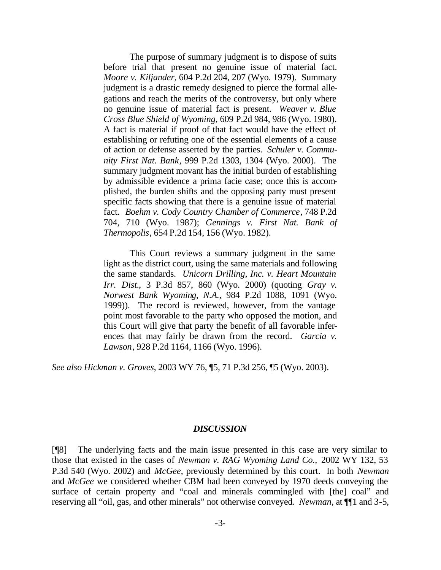The purpose of summary judgment is to dispose of suits before trial that present no genuine issue of material fact. *Moore v. Kiljander*, 604 P.2d 204, 207 (Wyo. 1979). Summary judgment is a drastic remedy designed to pierce the formal allegations and reach the merits of the controversy, but only where no genuine issue of material fact is present. *Weaver v. Blue Cross Blue Shield of Wyoming*, 609 P.2d 984, 986 (Wyo. 1980). A fact is material if proof of that fact would have the effect of establishing or refuting one of the essential elements of a cause of action or defense asserted by the parties. *Schuler v. Community First Nat. Bank*, 999 P.2d 1303, 1304 (Wyo. 2000). The summary judgment movant has the initial burden of establishing by admissible evidence a prima facie case; once this is accomplished, the burden shifts and the opposing party must present specific facts showing that there is a genuine issue of material fact. *Boehm v. Cody Country Chamber of Commerce*, 748 P.2d 704, 710 (Wyo. 1987); *Gennings v. First Nat. Bank of Thermopolis*, 654 P.2d 154, 156 (Wyo. 1982).

This Court reviews a summary judgment in the same light as the district court, using the same materials and following the same standards. *Unicorn Drilling, Inc. v. Heart Mountain Irr. Dist.*, 3 P.3d 857, 860 (Wyo. 2000) (quoting *Gray v. Norwest Bank Wyoming, N.A.*, 984 P.2d 1088, 1091 (Wyo. 1999)). The record is reviewed, however, from the vantage point most favorable to the party who opposed the motion, and this Court will give that party the benefit of all favorable inferences that may fairly be drawn from the record. *Garcia v. Lawson*, 928 P.2d 1164, 1166 (Wyo. 1996).

*See also Hickman v. Groves*, 2003 WY 76, ¶5, 71 P.3d 256, ¶5 (Wyo. 2003).

#### *DISCUSSION*

[¶8] The underlying facts and the main issue presented in this case are very similar to those that existed in the cases of *Newman v. RAG Wyoming Land Co.,* 2002 WY 132, 53 P.3d 540 (Wyo. 2002) and *McGee*, previously determined by this court. In both *Newman* and *McGee* we considered whether CBM had been conveyed by 1970 deeds conveying the surface of certain property and "coal and minerals commingled with [the] coal" and reserving all "oil, gas, and other minerals" not otherwise conveyed. *Newman*, at ¶¶1 and 3-5,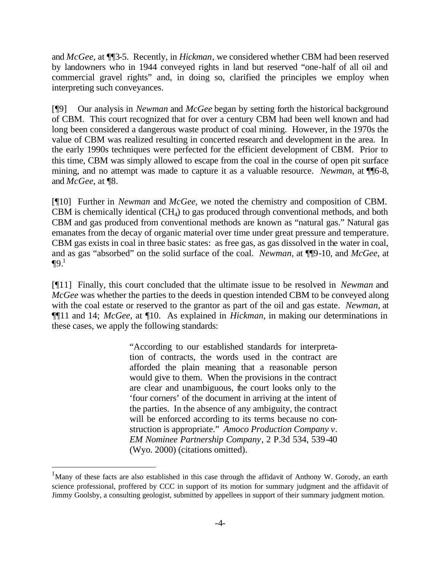and *McGee*, at ¶¶3-5. Recently, in *Hickman*, we considered whether CBM had been reserved by landowners who in 1944 conveyed rights in land but reserved "one-half of all oil and commercial gravel rights" and, in doing so, clarified the principles we employ when interpreting such conveyances.

[¶9] Our analysis in *Newman* and *McGee* began by setting forth the historical background of CBM. This court recognized that for over a century CBM had been well known and had long been considered a dangerous waste product of coal mining. However, in the 1970s the value of CBM was realized resulting in concerted research and development in the area. In the early 1990s techniques were perfected for the efficient development of CBM. Prior to this time, CBM was simply allowed to escape from the coal in the course of open pit surface mining, and no attempt was made to capture it as a valuable resource. *Newman*, at **[16-8**, and *McGee*, at ¶8.

[¶10] Further in *Newman* and *McGee*, we noted the chemistry and composition of CBM. CBM is chemically identical  $(CH<sub>4</sub>)$  to gas produced through conventional methods, and both CBM and gas produced from conventional methods are known as "natural gas." Natural gas emanates from the decay of organic material over time under great pressure and temperature. CBM gas exists in coal in three basic states: as free gas, as gas dissolved in the water in coal, and as gas "absorbed" on the solid surface of the coal. *Newman*, at ¶¶9-10, and *McGee*, at  $\P{9.1}$ 

[¶11] Finally, this court concluded that the ultimate issue to be resolved in *Newman* and *McGee* was whether the parties to the deeds in question intended CBM to be conveyed along with the coal estate or reserved to the grantor as part of the oil and gas estate. *Newman*, at ¶¶11 and 14; *McGee*, at ¶10. As explained in *Hickman*, in making our determinations in these cases, we apply the following standards:

> "According to our established standards for interpretation of contracts, the words used in the contract are afforded the plain meaning that a reasonable person would give to them. When the provisions in the contract are clear and unambiguous, the court looks only to the 'four corners' of the document in arriving at the intent of the parties. In the absence of any ambiguity, the contract will be enforced according to its terms because no construction is appropriate." *Amoco Production Company v. EM Nominee Partnership Company*, 2 P.3d 534, 539-40 (Wyo. 2000) (citations omitted).

l

 $1$ Many of these facts are also established in this case through the affidavit of Anthony W. Gorody, an earth science professional, proffered by CCC in support of its motion for summary judgment and the affidavit of Jimmy Goolsby, a consulting geologist, submitted by appellees in support of their summary judgment motion.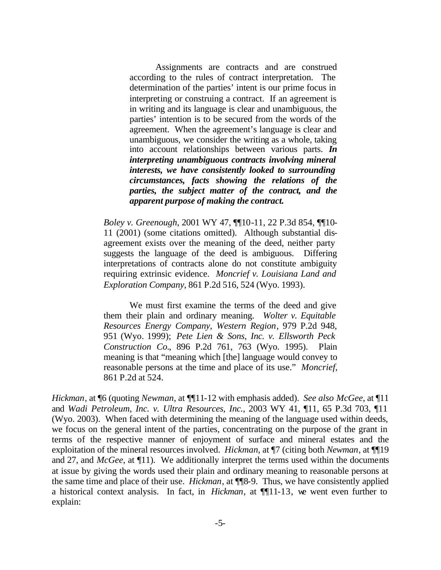Assignments are contracts and are construed according to the rules of contract interpretation. The determination of the parties' intent is our prime focus in interpreting or construing a contract. If an agreement is in writing and its language is clear and unambiguous, the parties' intention is to be secured from the words of the agreement. When the agreement's language is clear and unambiguous, we consider the writing as a whole, taking into account relationships between various parts. *In interpreting unambiguous contracts involving mineral interests, we have consistently looked to surrounding circumstances, facts showing the relations of the parties, the subject matter of the contract, and the apparent purpose of making the contract.*

*Boley v. Greenough*, 2001 WY 47, ¶¶10-11, 22 P.3d 854, ¶¶10- 11 (2001) (some citations omitted). Although substantial disagreement exists over the meaning of the deed, neither party suggests the language of the deed is ambiguous. Differing interpretations of contracts alone do not constitute ambiguity requiring extrinsic evidence. *Moncrief v. Louisiana Land and Exploration Company*, 861 P.2d 516, 524 (Wyo. 1993).

We must first examine the terms of the deed and give them their plain and ordinary meaning. *Wolter v. Equitable Resources Energy Company, Western Region*, 979 P.2d 948, 951 (Wyo. 1999); *Pete Lien & Sons, Inc. v. Ellsworth Peck Construction Co.*, 896 P.2d 761, 763 (Wyo. 1995). Plain meaning is that "meaning which [the] language would convey to reasonable persons at the time and place of its use." *Moncrief*, 861 P.2d at 524.

*Hickman*, at ¶6 (quoting *Newman*, at ¶¶11-12 with emphasis added). *See also McGee*, at ¶11 and *Wadi Petroleum, Inc. v. Ultra Resources, Inc.*, 2003 WY 41, ¶11, 65 P.3d 703, ¶11 (Wyo. 2003). When faced with determining the meaning of the language used within deeds, we focus on the general intent of the parties, concentrating on the purpose of the grant in terms of the respective manner of enjoyment of surface and mineral estates and the exploitation of the mineral resources involved. *Hickman*, at ¶7 (citing both *Newman*, at ¶¶19 and 27, and *McGee*, at ¶11). We additionally interpret the terms used within the documents at issue by giving the words used their plain and ordinary meaning to reasonable persons at the same time and place of their use. *Hickman*, at ¶¶8-9. Thus, we have consistently applied a historical context analysis. In fact, in *Hickman*, at ¶¶11-13, we went even further to explain: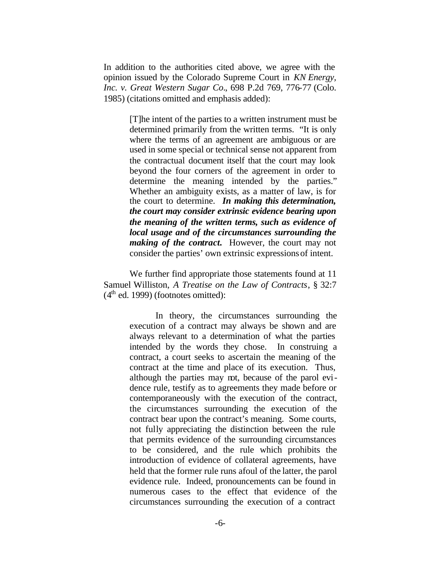In addition to the authorities cited above, we agree with the opinion issued by the Colorado Supreme Court in *KN Energy, Inc. v. Great Western Sugar Co.*, 698 P.2d 769, 776-77 (Colo. 1985) (citations omitted and emphasis added):

> [T]he intent of the parties to a written instrument must be determined primarily from the written terms. "It is only where the terms of an agreement are ambiguous or are used in some special or technical sense not apparent from the contractual document itself that the court may look beyond the four corners of the agreement in order to determine the meaning intended by the parties." Whether an ambiguity exists, as a matter of law, is for the court to determine. *In making this determination, the court may consider extrinsic evidence bearing upon the meaning of the written terms, such as evidence of local usage and of the circumstances surrounding the making of the contract.* However, the court may not consider the parties' own extrinsic expressions of intent.

We further find appropriate those statements found at 11 Samuel Williston, *A Treatise on the Law of Contracts*, § 32:7  $(4<sup>th</sup>$  ed. 1999) (footnotes omitted):

> In theory, the circumstances surrounding the execution of a contract may always be shown and are always relevant to a determination of what the parties intended by the words they chose. In construing a contract, a court seeks to ascertain the meaning of the contract at the time and place of its execution. Thus, although the parties may not, because of the parol evidence rule, testify as to agreements they made before or contemporaneously with the execution of the contract, the circumstances surrounding the execution of the contract bear upon the contract's meaning. Some courts, not fully appreciating the distinction between the rule that permits evidence of the surrounding circumstances to be considered, and the rule which prohibits the introduction of evidence of collateral agreements, have held that the former rule runs afoul of the latter, the parol evidence rule. Indeed, pronouncements can be found in numerous cases to the effect that evidence of the circumstances surrounding the execution of a contract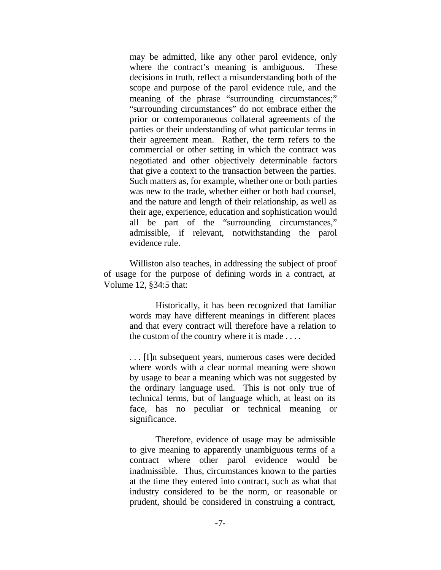may be admitted, like any other parol evidence, only where the contract's meaning is ambiguous. These decisions in truth, reflect a misunderstanding both of the scope and purpose of the parol evidence rule, and the meaning of the phrase "surrounding circumstances;" "surrounding circumstances" do not embrace either the prior or contemporaneous collateral agreements of the parties or their understanding of what particular terms in their agreement mean. Rather, the term refers to the commercial or other setting in which the contract was negotiated and other objectively determinable factors that give a context to the transaction between the parties. Such matters as, for example, whether one or both parties was new to the trade, whether either or both had counsel, and the nature and length of their relationship, as well as their age, experience, education and sophistication would all be part of the "surrounding circumstances," admissible, if relevant, notwithstanding the parol evidence rule.

Williston also teaches, in addressing the subject of proof of usage for the purpose of defining words in a contract, at Volume 12, §34:5 that:

> Historically, it has been recognized that familiar words may have different meanings in different places and that every contract will therefore have a relation to the custom of the country where it is made . . . .

> . . . [I]n subsequent years, numerous cases were decided where words with a clear normal meaning were shown by usage to bear a meaning which was not suggested by the ordinary language used. This is not only true of technical terms, but of language which, at least on its face, has no peculiar or technical meaning or significance.

> Therefore, evidence of usage may be admissible to give meaning to apparently unambiguous terms of a contract where other parol evidence would be inadmissible. Thus, circumstances known to the parties at the time they entered into contract, such as what that industry considered to be the norm, or reasonable or prudent, should be considered in construing a contract,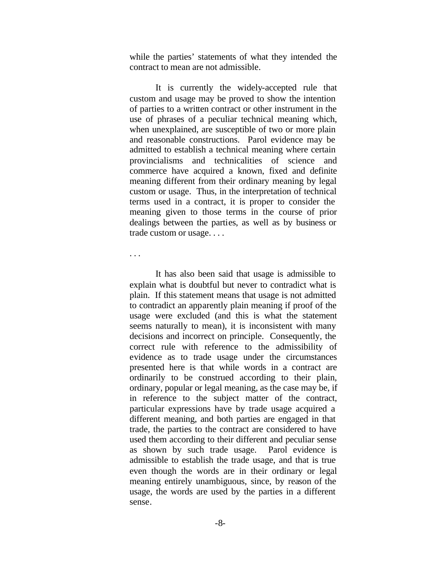while the parties' statements of what they intended the contract to mean are not admissible.

It is currently the widely-accepted rule that custom and usage may be proved to show the intention of parties to a written contract or other instrument in the use of phrases of a peculiar technical meaning which, when unexplained, are susceptible of two or more plain and reasonable constructions. Parol evidence may be admitted to establish a technical meaning where certain provincialisms and technicalities of science and commerce have acquired a known, fixed and definite meaning different from their ordinary meaning by legal custom or usage. Thus, in the interpretation of technical terms used in a contract, it is proper to consider the meaning given to those terms in the course of prior dealings between the parties, as well as by business or trade custom or usage. . . .

. . .

It has also been said that usage is admissible to explain what is doubtful but never to contradict what is plain. If this statement means that usage is not admitted to contradict an apparently plain meaning if proof of the usage were excluded (and this is what the statement seems naturally to mean), it is inconsistent with many decisions and incorrect on principle. Consequently, the correct rule with reference to the admissibility of evidence as to trade usage under the circumstances presented here is that while words in a contract are ordinarily to be construed according to their plain, ordinary, popular or legal meaning, as the case may be, if in reference to the subject matter of the contract, particular expressions have by trade usage acquired a different meaning, and both parties are engaged in that trade, the parties to the contract are considered to have used them according to their different and peculiar sense as shown by such trade usage. Parol evidence is admissible to establish the trade usage, and that is true even though the words are in their ordinary or legal meaning entirely unambiguous, since, by reason of the usage, the words are used by the parties in a different sense.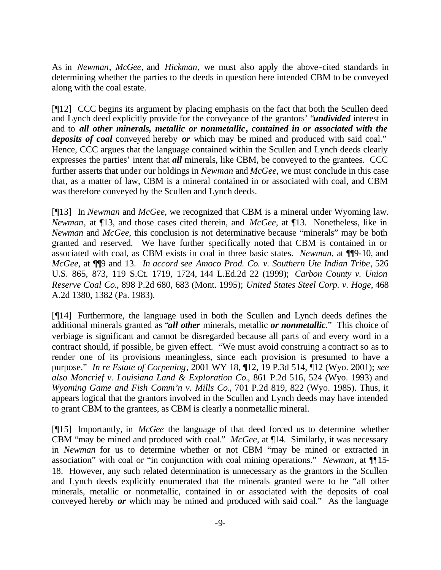As in *Newman*, *McGee*, and *Hickman*, we must also apply the above-cited standards in determining whether the parties to the deeds in question here intended CBM to be conveyed along with the coal estate.

[¶12] CCC begins its argument by placing emphasis on the fact that both the Scullen deed and Lynch deed explicitly provide for the conveyance of the grantors' "*undivided* interest in and to *all other minerals, metallic or nonmetallic***,** *contained in or associated with the deposits of coal* conveyed hereby *or* which may be mined and produced with said coal." Hence, CCC argues that the language contained within the Scullen and Lynch deeds clearly expresses the parties' intent that *all* minerals, like CBM, be conveyed to the grantees. CCC further asserts that under our holdings in *Newman* and *McGee*, we must conclude in this case that, as a matter of law, CBM is a mineral contained in or associated with coal, and CBM was therefore conveyed by the Scullen and Lynch deeds.

[¶13] In *Newman* and *McGee*, we recognized that CBM is a mineral under Wyoming law. *Newman*, at ¶13, and those cases cited therein, and *McGee*, at ¶13. Nonetheless, like in *Newman* and *McGee*, this conclusion is not determinative because "minerals" may be both granted and reserved. We have further specifically noted that CBM is contained in or associated with coal, as CBM exists in coal in three basic states. *Newman*, at ¶¶9-10, and *McGee*, at ¶¶9 and 13. *In accord see Amoco Prod. Co. v. Southern Ute Indian Tribe*, 526 U.S. 865, 873, 119 S.Ct. 1719, 1724, 144 L.Ed.2d 22 (1999); *Carbon County v. Union Reserve Coal Co.*, 898 P.2d 680, 683 (Mont. 1995); *United States Steel Corp. v. Hoge*, 468 A.2d 1380, 1382 (Pa. 1983).

[¶14] Furthermore, the language used in both the Scullen and Lynch deeds defines the additional minerals granted as "*all other* minerals, metallic *or nonmetallic*." This choice of verbiage is significant and cannot be disregarded because all parts of and every word in a contract should, if possible, be given effect. "We must avoid construing a contract so as to render one of its provisions meaningless, since each provision is presumed to have a purpose." *In re Estate of Corpening*, 2001 WY 18, ¶12, 19 P.3d 514, ¶12 (Wyo. 2001); *see also Moncrief v. Louisiana Land & Exploration Co.*, 861 P.2d 516, 524 (Wyo. 1993) and *Wyoming Game and Fish Comm'n v. Mills Co.*, 701 P.2d 819, 822 (Wyo. 1985). Thus, it appears logical that the grantors involved in the Scullen and Lynch deeds may have intended to grant CBM to the grantees, as CBM is clearly a nonmetallic mineral.

[¶15] Importantly, in *McGee* the language of that deed forced us to determine whether CBM "may be mined and produced with coal." *McGee*, at ¶14. Similarly, it was necessary in *Newman* for us to determine whether or not CBM "may be mined or extracted in association" with coal or "in conjunction with coal mining operations." *Newman*, at ¶¶15- 18. However, any such related determination is unnecessary as the grantors in the Scullen and Lynch deeds explicitly enumerated that the minerals granted were to be "all other minerals, metallic or nonmetallic, contained in or associated with the deposits of coal conveyed hereby *or* which may be mined and produced with said coal." As the language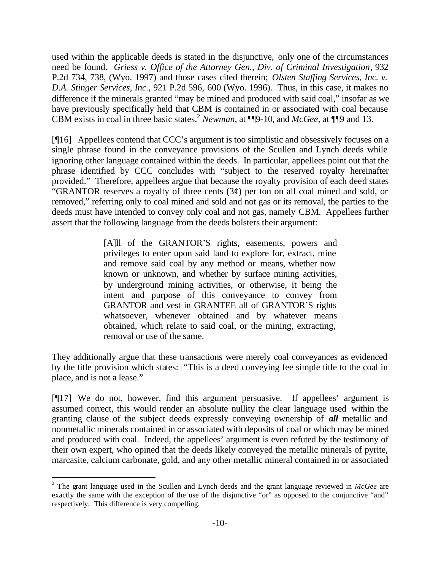used within the applicable deeds is stated in the disjunctive, only one of the circumstances need be found. *Griess v. Office of the Attorney Gen., Div. of Criminal Investigation*, 932 P.2d 734, 738, (Wyo. 1997) and those cases cited therein; *Olsten Staffing Services, Inc. v. D.A. Stinger Services, Inc.*, 921 P.2d 596, 600 (Wyo. 1996). Thus, in this case, it makes no difference if the minerals granted "may be mined and produced with said coal," insofar as we have previously specifically held that CBM is contained in or associated with coal because CBM exists in coal in three basic states.<sup>2</sup> *Newman*, at ¶¶9-10, and *McGee*, at ¶¶9 and 13.

[¶16] Appellees contend that CCC's argument is too simplistic and obsessively focuses on a single phrase found in the conveyance provisions of the Scullen and Lynch deeds while ignoring other language contained within the deeds. In particular, appellees point out that the phrase identified by CCC concludes with "subject to the reserved royalty hereinafter provided." Therefore, appellees argue that because the royalty provision of each deed states "GRANTOR reserves a royalty of three cents  $(3\psi)$  per ton on all coal mined and sold, or removed," referring only to coal mined and sold and not gas or its removal, the parties to the deeds must have intended to convey only coal and not gas, namely CBM. Appellees further assert that the following language from the deeds bolsters their argument:

> [A]ll of the GRANTOR'S rights, easements, powers and privileges to enter upon said land to explore for, extract, mine and remove said coal by any method or means, whether now known or unknown, and whether by surface mining activities, by underground mining activities, or otherwise, it being the intent and purpose of this conveyance to convey from GRANTOR and vest in GRANTEE all of GRANTOR'S rights whatsoever, whenever obtained and by whatever means obtained, which relate to said coal, or the mining, extracting, removal or use of the same.

They additionally argue that these transactions were merely coal conveyances as evidenced by the title provision which states: "This is a deed conveying fee simple title to the coal in place, and is not a lease."

[¶17] We do not, however, find this argument persuasive. If appellees' argument is assumed correct, this would render an absolute nullity the clear language used within the granting clause of the subject deeds expressly conveying ownership of *all* metallic and nonmetallic minerals contained in or associated with deposits of coal or which may be mined and produced with coal. Indeed, the appellees' argument is even refuted by the testimony of their own expert, who opined that the deeds likely conveyed the metallic minerals of pyrite, marcasite, calcium carbonate, gold, and any other metallic mineral contained in or associated

l

<sup>2</sup> The grant language used in the Scullen and Lynch deeds and the grant language reviewed in *McGee* are exactly the same with the exception of the use of the disjunctive "or" as opposed to the conjunctive "and" respectively. This difference is very compelling.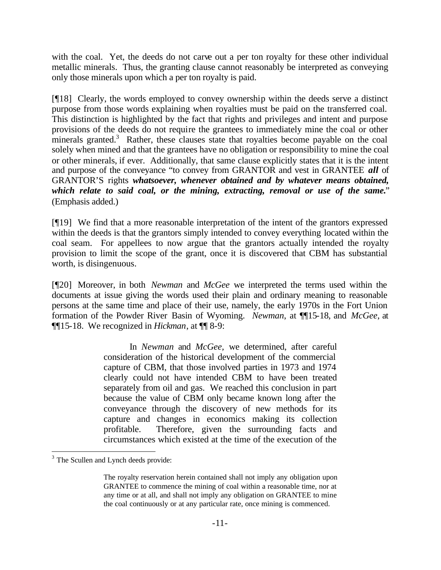with the coal. Yet, the deeds do not carve out a per ton royalty for these other individual metallic minerals. Thus, the granting clause cannot reasonably be interpreted as conveying only those minerals upon which a per ton royalty is paid.

[¶18] Clearly, the words employed to convey ownership within the deeds serve a distinct purpose from those words explaining when royalties must be paid on the transferred coal. This distinction is highlighted by the fact that rights and privileges and intent and purpose provisions of the deeds do not require the grantees to immediately mine the coal or other minerals granted.<sup>3</sup> Rather, these clauses state that royalties become payable on the coal solely when mined and that the grantees have no obligation or responsibility to mine the coal or other minerals, if ever. Additionally, that same clause explicitly states that it is the intent and purpose of the conveyance "to convey from GRANTOR and vest in GRANTEE *all* of GRANTOR'S rights *whatsoever, whenever obtained and by whatever means obtained, which relate to said coal, or the mining, extracting, removal or use of the same.*" (Emphasis added.)

[¶19] We find that a more reasonable interpretation of the intent of the grantors expressed within the deeds is that the grantors simply intended to convey everything located within the coal seam. For appellees to now argue that the grantors actually intended the royalty provision to limit the scope of the grant, once it is discovered that CBM has substantial worth, is disingenuous.

[¶20] Moreover, in both *Newman* and *McGee* we interpreted the terms used within the documents at issue giving the words used their plain and ordinary meaning to reasonable persons at the same time and place of their use, namely, the early 1970s in the Fort Union formation of the Powder River Basin of Wyoming. *Newman*, at ¶¶15-18, and *McGee*, at ¶¶15-18. We recognized in *Hickman*, at ¶¶ 8-9:

> In *Newman* and *McGee,* we determined, after careful consideration of the historical development of the commercial capture of CBM, that those involved parties in 1973 and 1974 clearly could not have intended CBM to have been treated separately from oil and gas. We reached this conclusion in part because the value of CBM only became known long after the conveyance through the discovery of new methods for its capture and changes in economics making its collection profitable. Therefore, given the surrounding facts and circumstances which existed at the time of the execution of the

l

<sup>&</sup>lt;sup>3</sup> The Scullen and Lynch deeds provide:

The royalty reservation herein contained shall not imply any obligation upon GRANTEE to commence the mining of coal within a reasonable time, nor at any time or at all, and shall not imply any obligation on GRANTEE to mine the coal continuously or at any particular rate, once mining is commenced.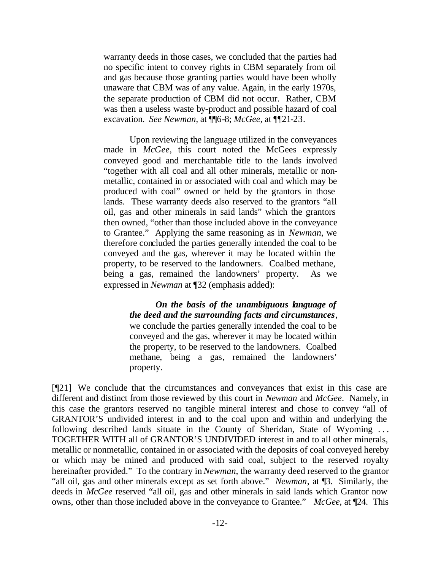warranty deeds in those cases, we concluded that the parties had no specific intent to convey rights in CBM separately from oil and gas because those granting parties would have been wholly unaware that CBM was of any value. Again, in the early 1970s, the separate production of CBM did not occur. Rather, CBM was then a useless waste by-product and possible hazard of coal excavation. *See Newman,* at ¶¶6-8; *McGee*, at ¶¶21-23.

Upon reviewing the language utilized in the conveyances made in *McGee*, this court noted the McGees expressly conveyed good and merchantable title to the lands involved "together with all coal and all other minerals, metallic or nonmetallic, contained in or associated with coal and which may be produced with coal" owned or held by the grantors in those lands. These warranty deeds also reserved to the grantors "all oil, gas and other minerals in said lands" which the grantors then owned, "other than those included above in the conveyance to Grantee." Applying the same reasoning as in *Newman*, we therefore concluded the parties generally intended the coal to be conveyed and the gas, wherever it may be located within the property, to be reserved to the landowners. Coalbed methane, being a gas, remained the landowners' property. As we expressed in *Newman* at ¶32 (emphasis added):

> *On the basis of the unambiguous language of the deed and the surrounding facts and circumstances*, we conclude the parties generally intended the coal to be conveyed and the gas, wherever it may be located within the property, to be reserved to the landowners. Coalbed methane, being a gas, remained the landowners' property.

[¶21] We conclude that the circumstances and conveyances that exist in this case are different and distinct from those reviewed by this court in *Newman* and *McGee*. Namely, in this case the grantors reserved no tangible mineral interest and chose to convey "all of GRANTOR'S undivided interest in and to the coal upon and within and underlying the following described lands situate in the County of Sheridan, State of Wyoming . . . TOGETHER WITH all of GRANTOR'S UNDIVIDED interest in and to all other minerals, metallic or nonmetallic, contained in or associated with the deposits of coal conveyed hereby or which may be mined and produced with said coal, subject to the reserved royalty hereinafter provided." To the contrary in *Newman*, the warranty deed reserved to the grantor "all oil, gas and other minerals except as set forth above." *Newman*, at ¶3. Similarly, the deeds in *McGee* reserved "all oil, gas and other minerals in said lands which Grantor now owns, other than those included above in the conveyance to Grantee." *McGee*, at ¶24. This